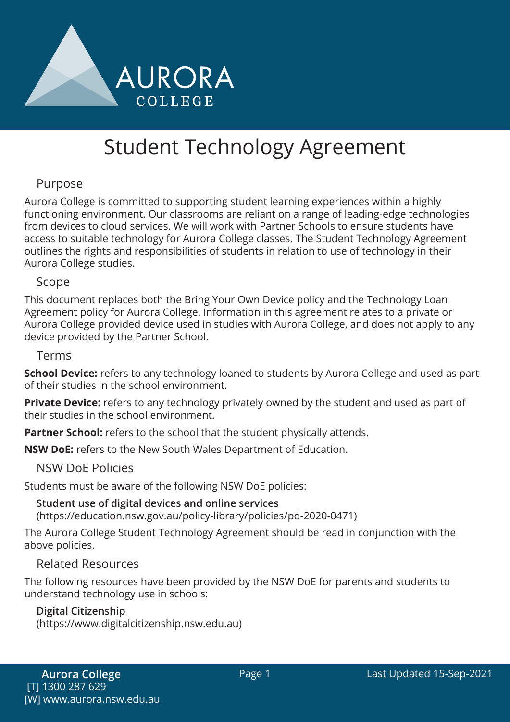

# Student Technology Agreement

## Purpose

Aurora College is committed to supporting student learning experiences within a highly functioning environment. Our classrooms are reliant on a range of leading-edge technologies from devices to cloud services. We will work with Partner Schools to ensure students have access to suitable technology for Aurora College classes. The Student Technology Agreement outlines the rights and responsibilities of students in relation to use of technology in their Aurora College studies.

#### Scope

This document replaces both the Bring Your Own Device policy and the Technology Loan Agreement policy for Aurora College. Information in this agreement relates to a private or Aurora College provided device used in studies with Aurora College, and does not apply to any device provided by the Partner School.

#### Terms

**School Device:** refers to any technology loaned to students by Aurora College and used as part of their studies in the school environment.

**Private Device:** refers to any technology privately owned by the student and used as part of their studies in the school environment.

**Partner School:** refers to the school that the student physically attends.

**NSW DoE:** refers to the New South Wales Department of Education.

#### NSW DoE Policies

Students must be aware of the following NSW DoE policies:

**Student use of digital devices and online services** (https://education.nsw.gov.au/policy-library/policies/pd-2020-0471)

The Aurora College Student Technology Agreement should be read in conjunction with the above policies.

#### Related Resources

The following resources have been provided by the NSW DoE for parents and students to understand technology use in schools:

#### **Digital Citizenship**

(https://www.digitalcitizenship.nsw.edu.au)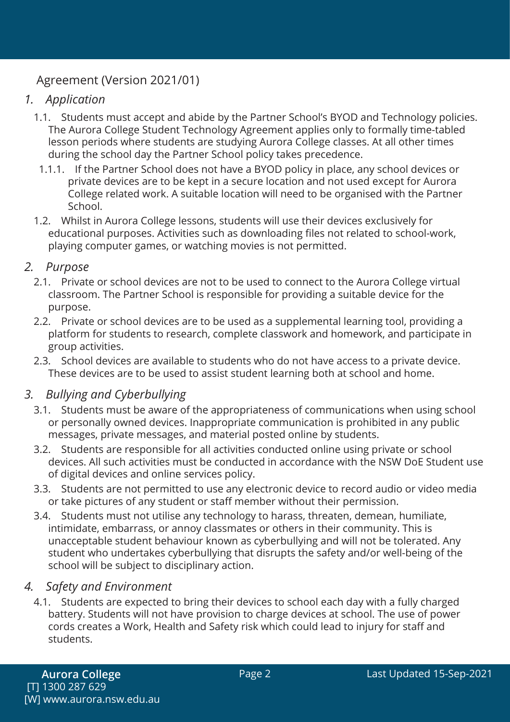# Agreement (Version 2021/01)

## *1. Application*

- 1.1. Students must accept and abide by the Partner School's BYOD and Technology policies. The Aurora College Student Technology Agreement applies only to formally time-tabled lesson periods where students are studying Aurora College classes. At all other times during the school day the Partner School policy takes precedence.
- 1.1.1. If the Partner School does not have a BYOD policy in place, any school devices or private devices are to be kept in a secure location and not used except for Aurora College related work. A suitable location will need to be organised with the Partner School.
- 1.2. Whilst in Aurora College lessons, students will use their devices exclusively for educational purposes. Activities such as downloading files not related to school-work, playing computer games, or watching movies is not permitted.

## *2. Purpose*

- 2.1. Private or school devices are not to be used to connect to the Aurora College virtual classroom. The Partner School is responsible for providing a suitable device for the purpose.
- 2.2. Private or school devices are to be used as a supplemental learning tool, providing a platform for students to research, complete classwork and homework, and participate in group activities.
- 2.3. School devices are available to students who do not have access to a private device. These devices are to be used to assist student learning both at school and home.

# *3. Bullying and Cyberbullying*

- 3.1. Students must be aware of the appropriateness of communications when using school or personally owned devices. Inappropriate communication is prohibited in any public messages, private messages, and material posted online by students.
- 3.2. Students are responsible for all activities conducted online using private or school devices. All such activities must be conducted in accordance with the NSW DoE Student use of digital devices and online services policy.
- 3.3. Students are not permitted to use any electronic device to record audio or video media or take pictures of any student or staff member without their permission.
- 3.4. Students must not utilise any technology to harass, threaten, demean, humiliate, intimidate, embarrass, or annoy classmates or others in their community. This is unacceptable student behaviour known as cyberbullying and will not be tolerated. Any student who undertakes cyberbullying that disrupts the safety and/or well-being of the school will be subject to disciplinary action.

## *4. Safety and Environment*

4.1. Students are expected to bring their devices to school each day with a fully charged battery. Students will not have provision to charge devices at school. The use of power cords creates a Work, Health and Safety risk which could lead to injury for staff and students.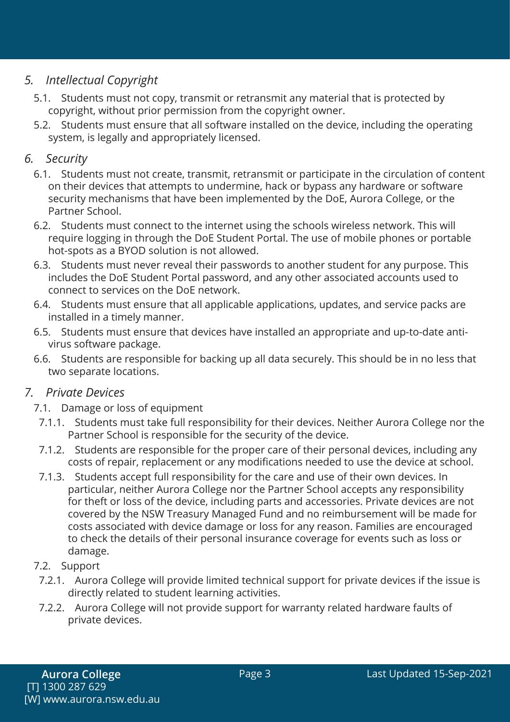# *5. Intellectual Copyright*

- 5.1. Students must not copy, transmit or retransmit any material that is protected by copyright, without prior permission from the copyright owner.
- 5.2. Students must ensure that all software installed on the device, including the operating system, is legally and appropriately licensed.

# *6. Security*

- 6.1. Students must not create, transmit, retransmit or participate in the circulation of content on their devices that attempts to undermine, hack or bypass any hardware or software security mechanisms that have been implemented by the DoE, Aurora College, or the Partner School.
- 6.2. Students must connect to the internet using the schools wireless network. This will require logging in through the DoE Student Portal. The use of mobile phones or portable hot-spots as a BYOD solution is not allowed.
- 6.3. Students must never reveal their passwords to another student for any purpose. This includes the DoE Student Portal password, and any other associated accounts used to connect to services on the DoE network.
- 6.4. Students must ensure that all applicable applications, updates, and service packs are installed in a timely manner.
- 6.5. Students must ensure that devices have installed an appropriate and up-to-date antivirus software package.
- 6.6. Students are responsible for backing up all data securely. This should be in no less that two separate locations.

## *7. Private Devices*

- 7.1. Damage or loss of equipment
- 7.1.1. Students must take full responsibility for their devices. Neither Aurora College nor the Partner School is responsible for the security of the device.
- 7.1.2. Students are responsible for the proper care of their personal devices, including any costs of repair, replacement or any modifications needed to use the device at school.
- 7.1.3. Students accept full responsibility for the care and use of their own devices. In particular, neither Aurora College nor the Partner School accepts any responsibility for theft or loss of the device, including parts and accessories. Private devices are not covered by the NSW Treasury Managed Fund and no reimbursement will be made for costs associated with device damage or loss for any reason. Families are encouraged to check the details of their personal insurance coverage for events such as loss or damage.

#### 7.2. Support

- 7.2.1. Aurora College will provide limited technical support for private devices if the issue is directly related to student learning activities.
- 7.2.2. Aurora College will not provide support for warranty related hardware faults of private devices.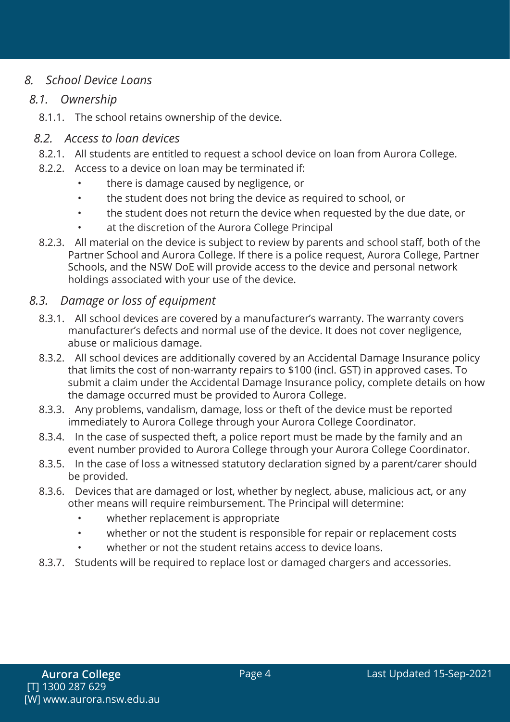# *8. School Device Loans*

#### *8.1. Ownership*

8.1.1. The school retains ownership of the device.

#### *8.2. Access to loan devices*

- 8.2.1. All students are entitled to request a school device on loan from Aurora College.
- 8.2.2. Access to a device on loan may be terminated if:
	- there is damage caused by negligence, or
	- the student does not bring the device as required to school, or
	- the student does not return the device when requested by the due date, or
	- at the discretion of the Aurora College Principal
- 8.2.3. All material on the device is subject to review by parents and school staff, both of the Partner School and Aurora College. If there is a police request, Aurora College, Partner Schools, and the NSW DoE will provide access to the device and personal network holdings associated with your use of the device.

#### *8.3. Damage or loss of equipment*

- 8.3.1. All school devices are covered by a manufacturer's warranty. The warranty covers manufacturer's defects and normal use of the device. It does not cover negligence, abuse or malicious damage.
- 8.3.2. All school devices are additionally covered by an Accidental Damage Insurance policy that limits the cost of non-warranty repairs to \$100 (incl. GST) in approved cases. To submit a claim under the Accidental Damage Insurance policy, complete details on how the damage occurred must be provided to Aurora College.
- 8.3.3. Any problems, vandalism, damage, loss or theft of the device must be reported immediately to Aurora College through your Aurora College Coordinator.
- 8.3.4. In the case of suspected theft, a police report must be made by the family and an event number provided to Aurora College through your Aurora College Coordinator.
- 8.3.5. In the case of loss a witnessed statutory declaration signed by a parent/carer should be provided.
- 8.3.6. Devices that are damaged or lost, whether by neglect, abuse, malicious act, or any other means will require reimbursement. The Principal will determine:
	- whether replacement is appropriate
	- whether or not the student is responsible for repair or replacement costs
	- whether or not the student retains access to device loans.
- 8.3.7. Students will be required to replace lost or damaged chargers and accessories.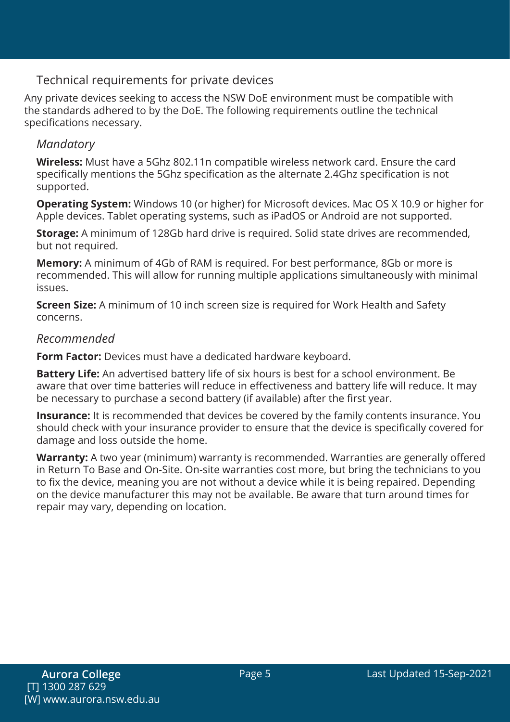# Technical requirements for private devices

Any private devices seeking to access the NSW DoE environment must be compatible with the standards adhered to by the DoE. The following requirements outline the technical specifications necessary.

## *Mandatory*

**Wireless:** Must have a 5Ghz 802.11n compatible wireless network card. Ensure the card specifically mentions the 5Ghz specification as the alternate 2.4Ghz specification is not supported.

**Operating System:** Windows 10 (or higher) for Microsoft devices. Mac OS X 10.9 or higher for Apple devices. Tablet operating systems, such as iPadOS or Android are not supported.

**Storage:** A minimum of 128Gb hard drive is required. Solid state drives are recommended, but not required.

**Memory:** A minimum of 4Gb of RAM is required. For best performance, 8Gb or more is recommended. This will allow for running multiple applications simultaneously with minimal issues.

**Screen Size:** A minimum of 10 inch screen size is required for Work Health and Safety concerns.

#### *Recommended*

**Form Factor:** Devices must have a dedicated hardware keyboard.

**Battery Life:** An advertised battery life of six hours is best for a school environment. Be aware that over time batteries will reduce in effectiveness and battery life will reduce. It may be necessary to purchase a second battery (if available) after the first year.

**Insurance:** It is recommended that devices be covered by the family contents insurance. You should check with your insurance provider to ensure that the device is specifically covered for damage and loss outside the home.

**Warranty:** A two year (minimum) warranty is recommended. Warranties are generally offered in Return To Base and On-Site. On-site warranties cost more, but bring the technicians to you to fix the device, meaning you are not without a device while it is being repaired. Depending on the device manufacturer this may not be available. Be aware that turn around times for repair may vary, depending on location.